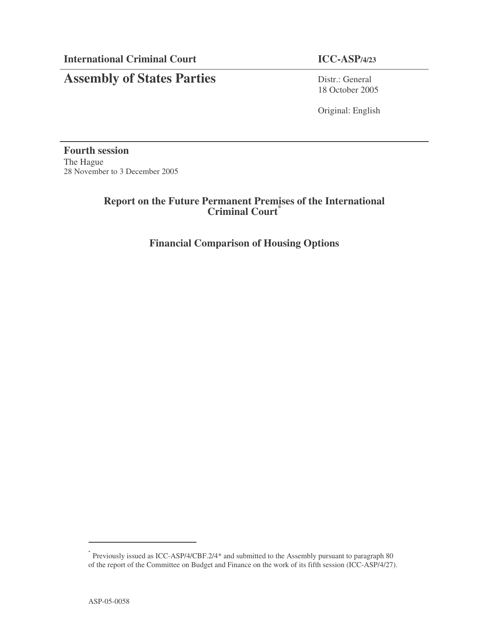## **Assembly of States Parties** Distr.: General

18 October 2005

Original: English

**Fourth session** The Hague 28 November to 3 December 2005

## **Report on the Future Permanent Premises of the International Criminal Court \***

## **Financial Comparison of Housing Options**

<sup>\*</sup> Previously issued as ICC-ASP/4/CBF.2/4\* and submitted to the Assembly pursuant to paragraph 80 of the report of the Committee on Budget and Finance on the work of its fifth session (ICC-ASP/4/27).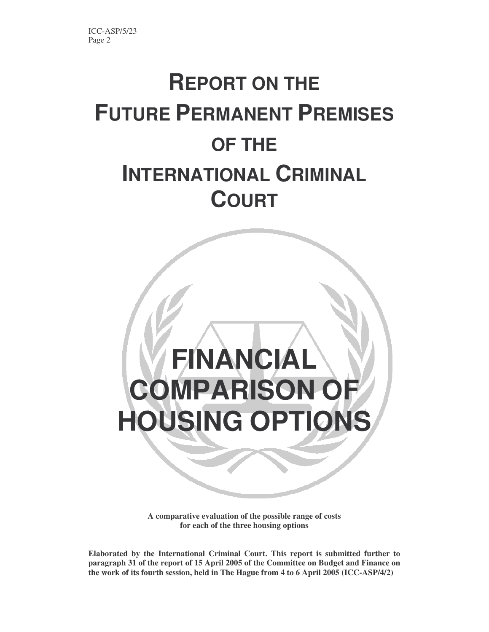# **REPORT ON THE FUTURE PERMANENT PREMISES OF THE INTERNATIONAL CRIMINAL COURT**



**A comparative evaluation of the possible range of costs for each of the three housing options**

**Elaborated by the International Criminal Court. This report is submitted further to paragraph 31 of the report of 15 April 2005 of the Committee on Budget and Finance on the work of its fourth session, held in The Hague from 4 to 6 April 2005 (ICC-ASP/4/2)**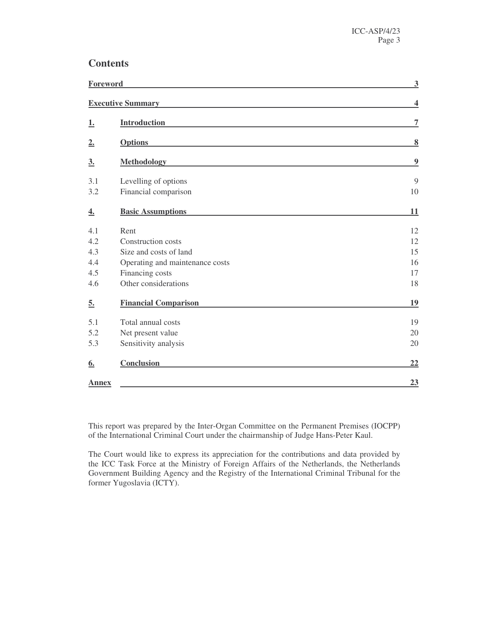## **Contents**

|                  | Foreword                        |                         |  |
|------------------|---------------------------------|-------------------------|--|
|                  | <b>Executive Summary</b>        | $\overline{\mathbf{4}}$ |  |
| <u>1.</u>        | <b>Introduction</b>             | 7                       |  |
| 2.               | <b>Options</b>                  | $\bf{8}$                |  |
| $\underline{3.}$ | <b>Methodology</b>              | $\boldsymbol{9}$        |  |
| 3.1              | Levelling of options            | 9                       |  |
| 3.2              | Financial comparison            | 10                      |  |
| 4.               | <b>Basic Assumptions</b>        | 11                      |  |
| 4.1              | Rent                            | 12                      |  |
| 4.2              | Construction costs              | 12                      |  |
| 4.3              | Size and costs of land          | 15                      |  |
| 4.4              | Operating and maintenance costs | 16                      |  |
| 4.5              | Financing costs                 | 17                      |  |
| 4.6              | Other considerations            | 18                      |  |
| 5.               | <b>Financial Comparison</b>     | 19                      |  |
| 5.1              | Total annual costs              | 19                      |  |
| 5.2              | Net present value               | 20                      |  |
| 5.3              | Sensitivity analysis            | 20                      |  |
| 6.               | Conclusion                      | <u>22</u>               |  |
| <b>Annex</b>     |                                 | 23                      |  |

This report was prepared by the Inter-Organ Committee on the Permanent Premises (IOCPP) of the International Criminal Court under the chairmanship of Judge Hans-Peter Kaul.

The Court would like to express its appreciation for the contributions and data provided by the ICC Task Force at the Ministry of Foreign Affairs of the Netherlands, the Netherlands Government Building Agency and the Registry of the International Criminal Tribunal for the former Yugoslavia (ICTY).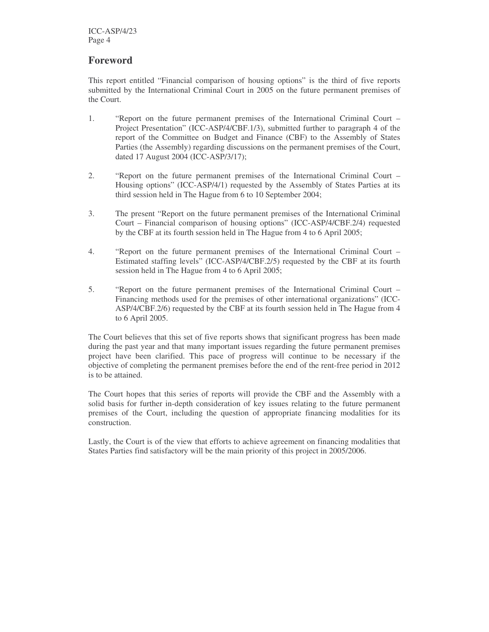## **Foreword**

This report entitled "Financial comparison of housing options" is the third of five reports submitted by the International Criminal Court in 2005 on the future permanent premises of the Court.

- 1. "Report on the future permanent premises of the International Criminal Court Project Presentation" (ICC-ASP/4/CBF.1/3), submitted further to paragraph 4 of the report of the Committee on Budget and Finance (CBF) to the Assembly of States Parties (the Assembly) regarding discussions on the permanent premises of the Court, dated 17 August 2004 (ICC-ASP/3/17);
- 2. "Report on the future permanent premises of the International Criminal Court Housing options" (ICC-ASP/4/1) requested by the Assembly of States Parties at its third session held in The Hague from 6 to 10 September 2004;
- 3. The present "Report on the future permanent premises of the International Criminal Court – Financial comparison of housing options" (ICC-ASP/4/CBF.2/4) requested by the CBF at its fourth session held in The Hague from 4 to 6 April 2005;
- 4. "Report on the future permanent premises of the International Criminal Court Estimated staffing levels" (ICC-ASP/4/CBF.2/5) requested by the CBF at its fourth session held in The Hague from 4 to 6 April 2005;
- 5. "Report on the future permanent premises of the International Criminal Court Financing methods used for the premises of other international organizations" (ICC-ASP/4/CBF.2/6) requested by the CBF at its fourth session held in The Hague from 4 to 6 April 2005.

The Court believes that this set of five reports shows that significant progress has been made during the past year and that many important issues regarding the future permanent premises project have been clarified. This pace of progress will continue to be necessary if the objective of completing the permanent premises before the end of the rent-free period in 2012 is to be attained.

The Court hopes that this series of reports will provide the CBF and the Assembly with a solid basis for further in-depth consideration of key issues relating to the future permanent premises of the Court, including the question of appropriate financing modalities for its construction.

Lastly, the Court is of the view that efforts to achieve agreement on financing modalities that States Parties find satisfactory will be the main priority of this project in 2005/2006.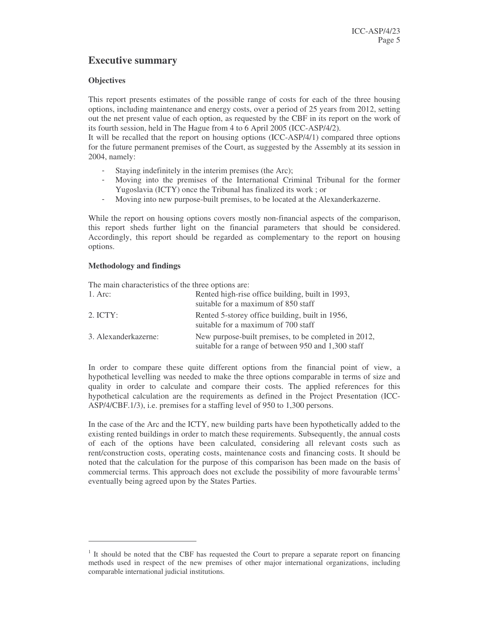## **Executive summary**

#### **Objectives**

This report presents estimates of the possible range of costs for each of the three housing options, including maintenance and energy costs, over a period of 25 years from 2012, setting out the net present value of each option, as requested by the CBF in its report on the work of its fourth session, held in The Hague from 4 to 6 April 2005 (ICC-ASP/4/2).

It will be recalled that the report on housing options (ICC-ASP/4/1) compared three options for the future permanent premises of the Court, as suggested by the Assembly at its session in 2004, namely:

- Staying indefinitely in the interim premises (the Arc);
- Moving into the premises of the International Criminal Tribunal for the former Yugoslavia (ICTY) once the Tribunal has finalized its work ; or
- Moving into new purpose-built premises, to be located at the Alexanderkazerne.

While the report on housing options covers mostly non-financial aspects of the comparison, this report sheds further light on the financial parameters that should be considered. Accordingly, this report should be regarded as complementary to the report on housing options.

#### **Methodology and findings**

The main characteristics of the three options are:

| 1. Arc:              | Rented high-rise office building, built in 1993,<br>suitable for a maximum of 850 staff                     |
|----------------------|-------------------------------------------------------------------------------------------------------------|
| $2.$ ICTY:           | Rented 5-storey office building, built in 1956,<br>suitable for a maximum of 700 staff                      |
| 3. Alexanderkazerne: | New purpose-built premises, to be completed in 2012,<br>suitable for a range of between 950 and 1,300 staff |

In order to compare these quite different options from the financial point of view, a hypothetical levelling was needed to make the three options comparable in terms of size and quality in order to calculate and compare their costs. The applied references for this hypothetical calculation are the requirements as defined in the Project Presentation (ICC-ASP/4/CBF.1/3), i.e. premises for a staffing level of 950 to 1,300 persons.

In the case of the Arc and the ICTY, new building parts have been hypothetically added to the existing rented buildings in order to match these requirements. Subsequently, the annual costs of each of the options have been calculated, considering all relevant costs such as rent/construction costs, operating costs, maintenance costs and financing costs. It should be noted that the calculation for the purpose of this comparison has been made on the basis of commercial terms. This approach does not exclude the possibility of more favourable terms 1 eventually being agreed upon by the States Parties.

<sup>&</sup>lt;sup>1</sup> It should be noted that the CBF has requested the Court to prepare a separate report on financing methods used in respect of the new premises of other major international organizations, including comparable international judicial institutions.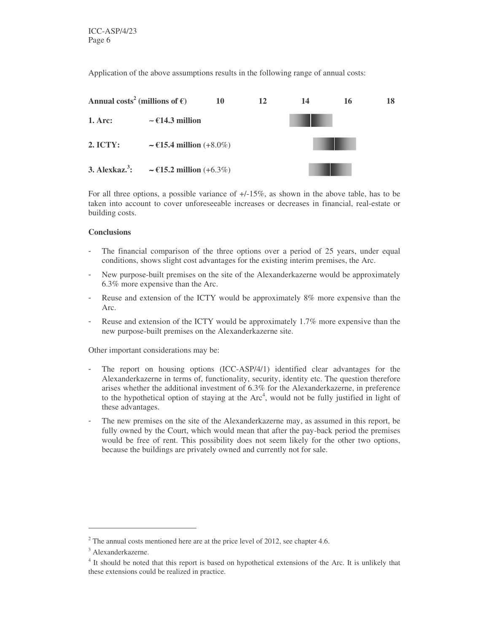Application of the above assumptions results in the following range of annual costs:



For all three options, a possible variance of  $\pm/15\%$ , as shown in the above table, has to be taken into account to cover unforeseeable increases or decreases in financial, real-estate or building costs.

#### **Conclusions**

- The financial comparison of the three options over a period of 25 years, under equal conditions, shows slight cost advantages for the existing interim premises, the Arc.
- New purpose-built premises on the site of the Alexanderkazerne would be approximately 6.3% more expensive than the Arc.
- Reuse and extension of the ICTY would be approximately 8% more expensive than the Arc.
- Reuse and extension of the ICTY would be approximately 1.7% more expensive than the new purpose-built premises on the Alexanderkazerne site.

Other important considerations may be:

- The report on housing options (ICC-ASP/4/1) identified clear advantages for the Alexanderkazerne in terms of, functionality, security, identity etc. The question therefore arises whether the additional investment of 6.3% for the Alexanderkazerne, in preference to the hypothetical option of staying at the Arc<sup>4</sup>, would not be fully justified in light of these advantages.
- The new premises on the site of the Alexanderkazerne may, as assumed in this report, be fully owned by the Court, which would mean that after the pay-back period the premises would be free of rent. This possibility does not seem likely for the other two options, because the buildings are privately owned and currently not for sale.

 $2$ <sup>2</sup> The annual costs mentioned here are at the price level of 2012, see chapter 4.6.

<sup>3</sup> Alexanderkazerne.

<sup>&</sup>lt;sup>4</sup> It should be noted that this report is based on hypothetical extensions of the Arc. It is unlikely that these extensions could be realized in practice.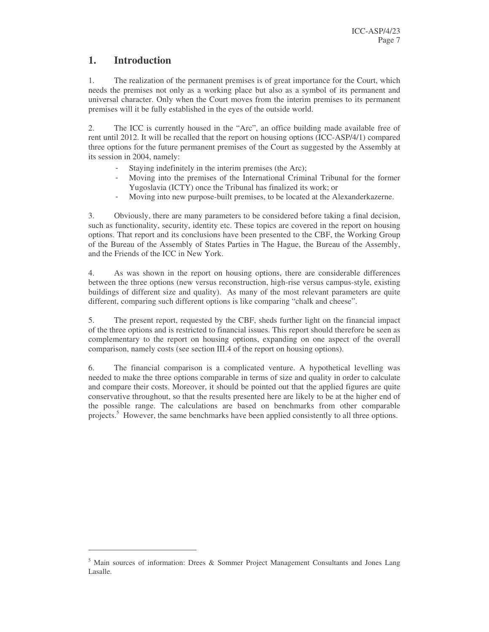## **1. Introduction**

1. The realization of the permanent premises is of great importance for the Court, which needs the premises not only as a working place but also as a symbol of its permanent and universal character. Only when the Court moves from the interim premises to its permanent premises will it be fully established in the eyes of the outside world.

2. The ICC is currently housed in the "Arc", an office building made available free of rent until 2012. It will be recalled that the report on housing options (ICC-ASP/4/1) compared three options for the future permanent premises of the Court as suggested by the Assembly at its session in 2004, namely:

- Staying indefinitely in the interim premises (the Arc);
- Moving into the premises of the International Criminal Tribunal for the former Yugoslavia (ICTY) once the Tribunal has finalized its work; or
- Moving into new purpose-built premises, to be located at the Alexanderkazerne.

3. Obviously, there are many parameters to be considered before taking a final decision, such as functionality, security, identity etc. These topics are covered in the report on housing options. That report and its conclusions have been presented to the CBF, the Working Group of the Bureau of the Assembly of States Parties in The Hague, the Bureau of the Assembly, and the Friends of the ICC in New York.

4. As was shown in the report on housing options, there are considerable differences between the three options (new versus reconstruction, high-rise versus campus-style, existing buildings of different size and quality). As many of the most relevant parameters are quite different, comparing such different options is like comparing "chalk and cheese".

5. The present report, requested by the CBF, sheds further light on the financial impact of the three options and is restricted to financial issues. This report should therefore be seen as complementary to the report on housing options, expanding on one aspect of the overall comparison, namely costs (see section III.4 of the report on housing options).

6. The financial comparison is a complicated venture. A hypothetical levelling was needed to make the three options comparable in terms of size and quality in order to calculate and compare their costs. Moreover, it should be pointed out that the applied figures are quite conservative throughout, so that the results presented here are likely to be at the higher end of the possible range. The calculations are based on benchmarks from other comparable projects.<sup>5</sup> However, the same benchmarks have been applied consistently to all three options.

<sup>5</sup> Main sources of information: Drees & Sommer Project Management Consultants and Jones Lang Lasalle.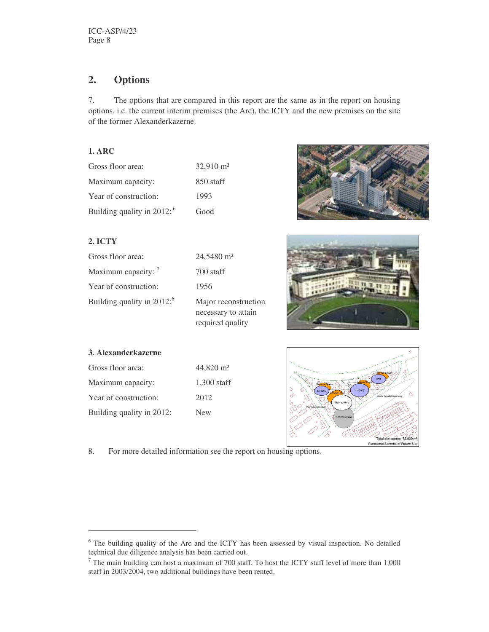## **2. Options**

7. The options that are compared in this report are the same as in the report on housing options, i.e. the current interim premises (the Arc), the ICTY and the new premises on the site of the former Alexanderkazerne.

### **1. ARC**

| Gross floor area:             | $32.910 \text{ m}^2$ |
|-------------------------------|----------------------|
| Maximum capacity:             | 850 staff            |
| Year of construction:         | 1993                 |
| Building quality in 2012: $6$ | Good                 |

## **2. ICTY**

| Gross floor area:                       | 24,5480 m <sup>2</sup>                      |
|-----------------------------------------|---------------------------------------------|
| Maximum capacity: 7                     | 700 staff                                   |
| Year of construction:                   | 1956                                        |
| Building quality in $2012$ <sup>6</sup> | Major reconstruction<br>necessary to attain |





## **3. Alexanderkazerne**

| Gross floor area:         | $44.820 \text{ m}^2$ |
|---------------------------|----------------------|
| Maximum capacity:         | $1.300$ staff        |
| Year of construction:     | 2012                 |
| Building quality in 2012: | <b>New</b>           |



8. For more detailed information see the report on housing options.

required quality

<sup>&</sup>lt;sup>6</sup> The building quality of the Arc and the ICTY has been assessed by visual inspection. No detailed technical due diligence analysis has been carried out.

<sup>7</sup> The main building can host a maximum of 700 staff. To host the ICTY staff level of more than 1,000 staff in 2003/2004, two additional buildings have been rented.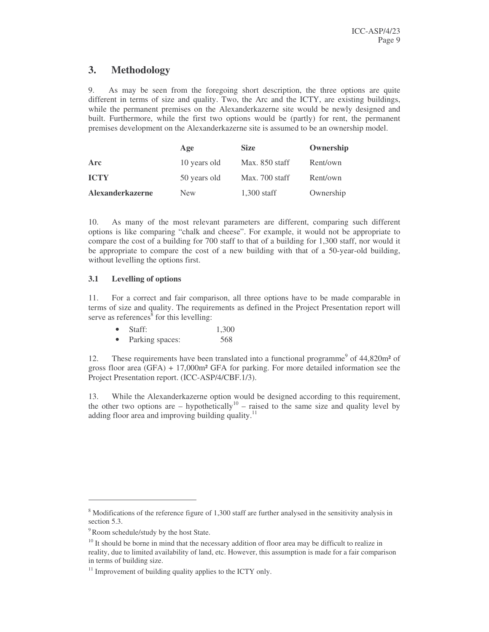## **3. Methodology**

9. As may be seen from the foregoing short description, the three options are quite different in terms of size and quality. Two, the Arc and the ICTY, are existing buildings, while the permanent premises on the Alexanderkazerne site would be newly designed and built. Furthermore, while the first two options would be (partly) for rent, the permanent premises development on the Alexanderkazerne site is assumed to be an ownership model.

|                         | Age          | <b>Size</b>    | Ownership |
|-------------------------|--------------|----------------|-----------|
| Arc                     | 10 years old | Max. 850 staff | Rent/own  |
| <b>ICTY</b>             | 50 years old | Max. 700 staff | Rent/own  |
| <b>Alexanderkazerne</b> | <b>New</b>   | $1,300$ staff  | Ownership |

10. As many of the most relevant parameters are different, comparing such different options is like comparing "chalk and cheese". For example, it would not be appropriate to compare the cost of a building for 700 staff to that of a building for 1,300 staff, nor would it be appropriate to compare the cost of a new building with that of a 50-year-old building, without levelling the options first.

#### **3.1 Levelling of options**

11. For a correct and fair comparison, all three options have to be made comparable in terms of size and quality. The requirements as defined in the Project Presentation report will serve as references<sup>8</sup> for this levelling:

| $\bullet$ | Staff: | 1,300 |  |
|-----------|--------|-------|--|
|           |        |       |  |

Parking spaces: 568

12. These requirements have been translated into a functional programme<sup>9</sup> of 44,820m<sup>2</sup> of gross floor area (GFA) + 17,000m² GFA for parking. For more detailed information see the Project Presentation report. (ICC-ASP/4/CBF.1/3).

13. While the Alexanderkazerne option would be designed according to this requirement, the other two options are  $-$  hypothetically<sup>10</sup>  $-$  raised to the same size and quality level by adding floor area and improving building quality.<sup>11</sup>

<sup>&</sup>lt;sup>8</sup> Modifications of the reference figure of 1,300 staff are further analysed in the sensitivity analysis in section 5.3.

<sup>&</sup>lt;sup>9</sup>Room schedule/study by the host State.

<sup>&</sup>lt;sup>10</sup> It should be borne in mind that the necessary addition of floor area may be difficult to realize in reality, due to limited availability of land, etc. However, this assumption is made for a fair comparison in terms of building size.

<sup>&</sup>lt;sup>11</sup> Improvement of building quality applies to the ICTY only.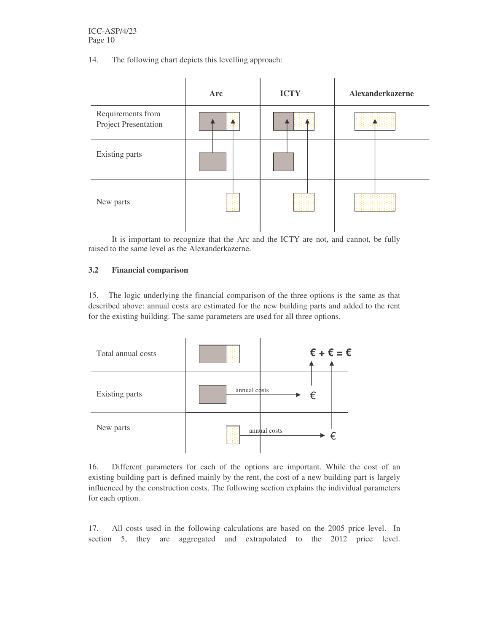14. The following chart depicts this levelling approach:



It is important to recognize that the Arc and the ICTY are not, and cannot, be fully raised to the same level as the Alexanderkazerne.

#### **3.2 Financial comparison**

15. The logic underlying the financial comparison of the three options is the same as that described above: annual costs are estimated for the new building parts and added to the rent for the existing building. The same parameters are used for all three options.



16. Different parameters for each of the options are important. While the cost of an existing building part is defined mainly by the rent, the cost of a new building part is largely influenced by the construction costs. The following section explains the individual parameters for each option.

17. All costs used in the following calculations are based on the 2005 price level. In section 5, they are aggregated and extrapolated to the 2012 price level.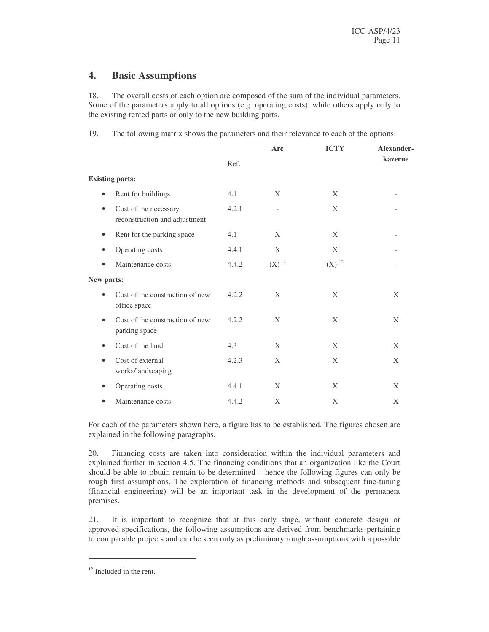## **4. Basic Assumptions**

18. The overall costs of each option are composed of the sum of the individual parameters. Some of the parameters apply to all options (e.g. operating costs), while others apply only to the existing rented parts or only to the new building parts.

19. The following matrix shows the parameters and their relevance to each of the options:

|                                                                     |       | Arc                      | <b>ICTY</b>         | Alexander- |
|---------------------------------------------------------------------|-------|--------------------------|---------------------|------------|
|                                                                     | Ref.  |                          |                     | kazerne    |
| <b>Existing parts:</b>                                              |       |                          |                     |            |
| Rent for buildings<br>$\bullet$                                     | 4.1   | X                        | X                   |            |
| Cost of the necessary<br>$\bullet$<br>reconstruction and adjustment | 4.2.1 | $\overline{\phantom{a}}$ | X                   |            |
| Rent for the parking space<br>$\bullet$                             | 4.1   | X                        | X                   |            |
| Operating costs<br>$\bullet$                                        | 4.4.1 | X                        | X                   |            |
| Maintenance costs<br>$\bullet$                                      | 4.4.2 | $(X)^{12}$               | $(X)$ <sup>12</sup> |            |
| New parts:                                                          |       |                          |                     |            |
| Cost of the construction of new<br>$\bullet$<br>office space        | 4.2.2 | X                        | X                   | X          |
| Cost of the construction of new<br>$\bullet$<br>parking space       | 4.2.2 | X                        | X                   | X          |
| Cost of the land<br>$\bullet$                                       | 4.3   | X                        | X                   | X          |
| Cost of external<br>$\bullet$<br>works/landscaping                  | 4.2.3 | X                        | X                   | X          |
| Operating costs<br>$\bullet$                                        | 4.4.1 | X                        | X                   | X          |
| Maintenance costs<br>$\bullet$                                      | 4.4.2 | X                        | X                   | X          |

For each of the parameters shown here, a figure has to be established. The figures chosen are explained in the following paragraphs.

20. Financing costs are taken into consideration within the individual parameters and explained further in section 4.5. The financing conditions that an organization like the Court should be able to obtain remain to be determined – hence the following figures can only be rough first assumptions. The exploration of financing methods and subsequent fine-tuning (financial engineering) will be an important task in the development of the permanent premises.

21. It is important to recognize that at this early stage, without concrete design or approved specifications, the following assumptions are derived from benchmarks pertaining to comparable projects and can be seen only as preliminary rough assumptions with a possible

<sup>&</sup>lt;sup>12</sup> Included in the rent.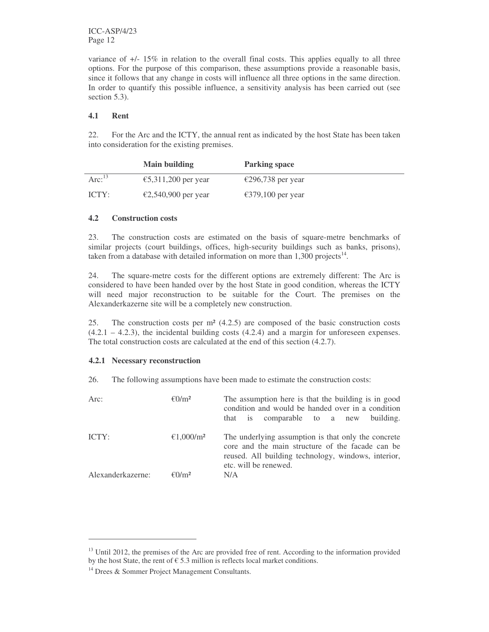ICC-ASP/4/23 Page 12

variance of +/- 15% in relation to the overall final costs. This applies equally to all three options. For the purpose of this comparison, these assumptions provide a reasonable basis, since it follows that any change in costs will influence all three options in the same direction. In order to quantify this possible influence, a sensitivity analysis has been carried out (see section 5.3).

#### **4.1 Rent**

22. For the Arc and the ICTY, the annual rent as indicated by the host State has been taken into consideration for the existing premises.

|           | <b>Main building</b> | <b>Parking space</b> |
|-----------|----------------------|----------------------|
| Arc: $13$ | €5,311,200 per year  | €296,738 per year    |
| ICTY:     | €2,540,900 per year  | €379,100 per year    |

#### **4.2 Construction costs**

23. The construction costs are estimated on the basis of square-metre benchmarks of similar projects (court buildings, offices, high-security buildings such as banks, prisons), taken from a database with detailed information on more than  $1,300$  projects<sup>14</sup>.

24. The square-metre costs for the different options are extremely different: The Arc is considered to have been handed over by the host State in good condition, whereas the ICTY will need major reconstruction to be suitable for the Court. The premises on the Alexanderkazerne site will be a completely new construction.

25. The construction costs per m² (4.2.5) are composed of the basic construction costs  $(4.2.1 - 4.2.3)$ , the incidental building costs  $(4.2.4)$  and a margin for unforeseen expenses. The total construction costs are calculated at the end of this section (4.2.7).

#### **4.2.1 Necessary reconstruction**

26. The following assumptions have been made to estimate the construction costs:

| Arc:              | $\epsilon$ 0/m <sup>2</sup> | The assumption here is that the building is in good<br>condition and would be handed over in a condition<br>comparable to a new<br>building.<br>that is                                 |  |
|-------------------|-----------------------------|-----------------------------------------------------------------------------------------------------------------------------------------------------------------------------------------|--|
| ICTY:             | €1,000/m <sup>2</sup>       | The underlying assumption is that only the concrete<br>core and the main structure of the facade can be<br>reused. All building technology, windows, interior,<br>etc. will be renewed. |  |
| Alexanderkazerne: | $\epsilon$ 0/m <sup>2</sup> | N/A                                                                                                                                                                                     |  |

<sup>&</sup>lt;sup>13</sup> Until 2012, the premises of the Arc are provided free of rent. According to the information provided by the host State, the rent of  $\epsilon$  5.3 million is reflects local market conditions.

<sup>&</sup>lt;sup>14</sup> Drees & Sommer Project Management Consultants.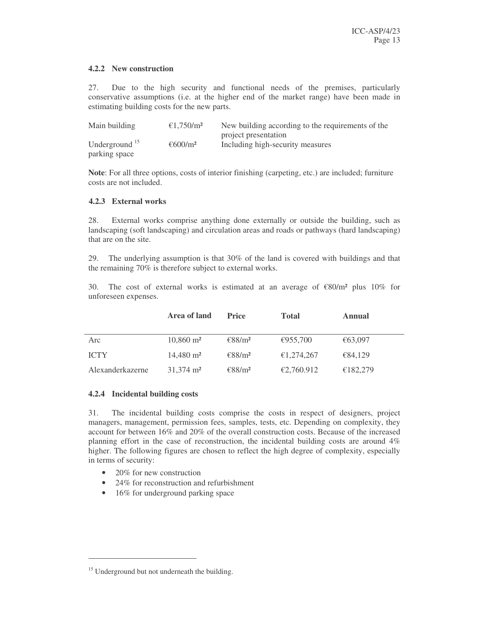#### **4.2.2 New construction**

27. Due to the high security and functional needs of the premises, particularly conservative assumptions (i.e. at the higher end of the market range) have been made in estimating building costs for the new parts.

| Main building             | €1.750/m <sup>2</sup> | New building according to the requirements of the |
|---------------------------|-----------------------|---------------------------------------------------|
|                           |                       | project presentation                              |
| Underground <sup>15</sup> | €600/m <sup>2</sup>   | Including high-security measures                  |
| parking space             |                       |                                                   |

**Note**: For all three options, costs of interior finishing (carpeting, etc.) are included; furniture costs are not included.

#### **4.2.3 External works**

28. External works comprise anything done externally or outside the building, such as landscaping (soft landscaping) and circulation areas and roads or pathways (hard landscaping) that are on the site.

29. The underlying assumption is that 30% of the land is covered with buildings and that the remaining 70% is therefore subject to external works.

30. The cost of external works is estimated at an average of  $\epsilon 80/m^2$  plus 10% for unforeseen expenses.

|                  | Area of land         | <b>Price</b>                 | <b>Total</b> | Annual   |
|------------------|----------------------|------------------------------|--------------|----------|
| Arc              | $10,860 \text{ m}^2$ | $\epsilon$ 88/m <sup>2</sup> | €955,700     | €63,097  |
| <b>ICTY</b>      | $14,480 \text{ m}^2$ | $\epsilon$ 88/m <sup>2</sup> | €1,274,267   | €84,129  |
| Alexanderkazerne | $31.374 \text{ m}^2$ | €88/m <sup>2</sup>           | €2,760.912   | €182,279 |

#### **4.2.4 Incidental building costs**

31. The incidental building costs comprise the costs in respect of designers, project managers, management, permission fees, samples, tests, etc. Depending on complexity, they account for between 16% and 20% of the overall construction costs. Because of the increased planning effort in the case of reconstruction, the incidental building costs are around 4% higher. The following figures are chosen to reflect the high degree of complexity, especially in terms of security:

- 20% for new construction
- 24% for reconstruction and refurbishment
- 16% for underground parking space

<sup>&</sup>lt;sup>15</sup> Underground but not underneath the building.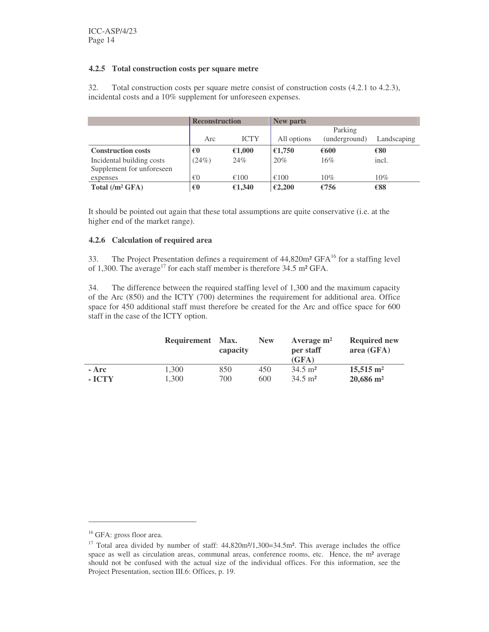#### **4.2.5 Total construction costs per square metre**

32. Total construction costs per square metre consist of construction costs (4.2.1 to 4.2.3), incidental costs and a 10% supplement for unforeseen expenses.

|                           | <b>Reconstruction</b> |             | <b>New parts</b> |               |             |
|---------------------------|-----------------------|-------------|------------------|---------------|-------------|
|                           |                       |             | Parking          |               |             |
|                           | Arc                   | <b>ICTY</b> | All options      | (underground) | Landscaping |
| <b>Construction costs</b> | €0                    | €1,000      | €1,750           | €600          | €80         |
| Incidental building costs | (24%)                 | 24%         | 20%              | 16%           | incl.       |
| Supplement for unforeseen |                       |             |                  |               |             |
| expenses                  | €0                    | €100        | €100             | 10%           | $10\%$      |
| Total $(/m^2 GFA)$        | €0                    | €1,340      | €2,200           | €756          | €88         |

It should be pointed out again that these total assumptions are quite conservative (i.e. at the higher end of the market range).

#### **4.2.6 Calculation of required area**

33. The Project Presentation defines a requirement of  $44,820m^2$  GFA<sup>16</sup> for a staffing level of 1,300. The average<sup>17</sup> for each staff member is therefore 34.5 m<sup>2</sup> GFA.

34. The difference between the required staffing level of 1,300 and the maximum capacity of the Arc (850) and the ICTY (700) determines the requirement for additional area. Office space for 450 additional staff must therefore be created for the Arc and office space for 600 staff in the case of the ICTY option.

|        | Requirement | <b>Max.</b><br>capacity | <b>New</b> | Average $m2$<br>per staff | <b>Required new</b><br>area $(GFA)$ |
|--------|-------------|-------------------------|------------|---------------------------|-------------------------------------|
|        |             |                         |            | (GFA)                     |                                     |
| - Arc  | 1.300       | 850                     | 450        | $34.5 \text{ m}^2$        | $15.515 \text{ m}^2$                |
| - ICTY | 1.300       | 700                     | 600        | $34.5 \text{ m}^2$        | $20,686$ m <sup>2</sup>             |

<sup>&</sup>lt;sup>16</sup> GFA: gross floor area.

<sup>&</sup>lt;sup>17</sup> Total area divided by number of staff: 44,820m<sup>2</sup>/1,300=34.5m<sup>2</sup>. This average includes the office space as well as circulation areas, communal areas, conference rooms, etc. Hence, the m² average should not be confused with the actual size of the individual offices. For this information, see the Project Presentation, section III.6: Offices, p. 19.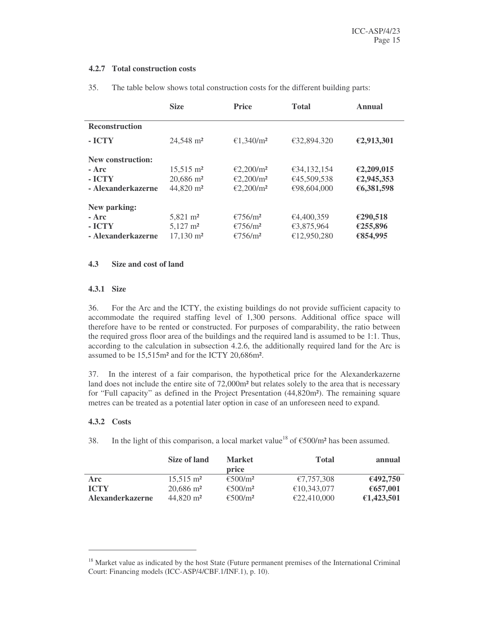#### **4.2.7 Total construction costs**

|                       | <b>Size</b>             | <b>Price</b>          | <b>Total</b> | Annual     |
|-----------------------|-------------------------|-----------------------|--------------|------------|
| <b>Reconstruction</b> |                         |                       |              |            |
| - ICTY                | 24.548 m <sup>2</sup>   | €1.340/m <sup>2</sup> | €32,894.320  | €2,913,301 |
| New construction:     |                         |                       |              |            |
| - Arc                 | $15.515 \text{ m}^2$    | €2.200/m <sup>2</sup> | €34,132,154  | €2,209,015 |
| - ICTY                | $20.686$ m <sup>2</sup> | €2.200/m <sup>2</sup> | €45,509,538  | €2,945,353 |
| - Alexanderkazerne    | 44,820 m <sup>2</sup>   | €2,200/m <sup>2</sup> | €98,604,000  | €6,381,598 |
| New parking:          |                         |                       |              |            |
| - Arc                 | $5.821 \text{ m}^2$     | €756/m <sup>2</sup>   | €4,400,359   | €290,518   |
| - ICTY                | $5,127 \text{ m}^2$     | €756/m <sup>2</sup>   | €3,875,964   | €255,896   |
| - Alexanderkazerne    | $17,130 \text{ m}^2$    | €756/m <sup>2</sup>   | €12,950,280  | €854,995   |

35. The table below shows total construction costs for the different building parts:

#### **4.3 Size and cost of land**

#### **4.3.1 Size**

36. For the Arc and the ICTY, the existing buildings do not provide sufficient capacity to accommodate the required staffing level of 1,300 persons. Additional office space will therefore have to be rented or constructed. For purposes of comparability, the ratio between the required gross floor area of the buildings and the required land is assumed to be 1:1. Thus, according to the calculation in subsection 4.2.6, the additionally required land for the Arc is assumed to be 15,515m² and for the ICTY 20,686m².

37. In the interest of a fair comparison, the hypothetical price for the Alexanderkazerne land does not include the entire site of 72,000m<sup>2</sup> but relates solely to the area that is necessary for "Full capacity" as defined in the Project Presentation (44,820m²). The remaining square metres can be treated as a potential later option in case of an unforeseen need to expand.

#### **4.3.2 Costs**

38. In the light of this comparison, a local market value<sup>18</sup> of  $\epsilon$ 500/m<sup>2</sup> has been assumed.

|                         | Size of land         | <b>Market</b><br>price        | <b>Total</b> | annual     |
|-------------------------|----------------------|-------------------------------|--------------|------------|
| Arc                     | $15.515 \text{ m}^2$ | $\epsilon$ 500/m <sup>2</sup> | €7,757,308   | €492,750   |
| <b>ICTY</b>             | $20,686 \text{ m}^2$ | €500/m <sup>2</sup>           | €10.343,077  | €657,001   |
| <b>Alexanderkazerne</b> | $44.820 \text{ m}^2$ | €500/m <sup>2</sup>           | £22,410,000  | €1,423,501 |

<sup>&</sup>lt;sup>18</sup> Market value as indicated by the host State (Future permanent premises of the International Criminal Court: Financing models (ICC-ASP/4/CBF.1/INF.1), p. 10).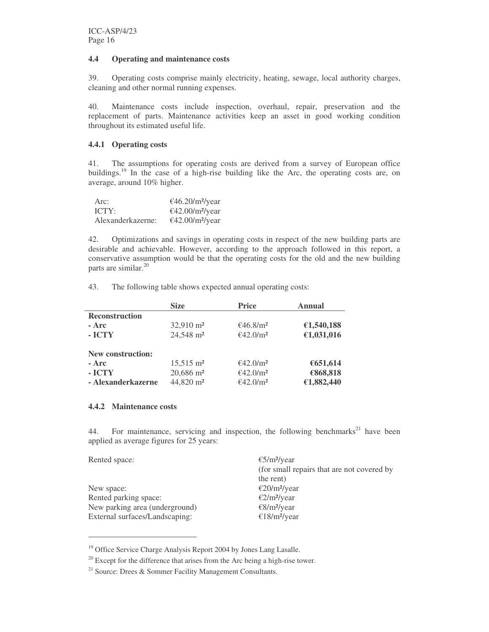#### **4.4 Operating and maintenance costs**

39. Operating costs comprise mainly electricity, heating, sewage, local authority charges, cleaning and other normal running expenses.

40. Maintenance costs include inspection, overhaul, repair, preservation and the replacement of parts. Maintenance activities keep an asset in good working condition throughout its estimated useful life.

#### **4.4.1 Operating costs**

41. The assumptions for operating costs are derived from a survey of European office buildings.<sup>19</sup> In the case of a high-rise building like the Arc, the operating costs are, on average, around 10% higher.

| Arc:              | $€46.20/m²$ /year |
|-------------------|-------------------|
| ICTY:             | $€42.00/m²$ /year |
| Alexanderkazerne: | $€42.00/m²$ /year |

42. Optimizations and savings in operating costs in respect of the new building parts are desirable and achievable. However, according to the approach followed in this report, a conservative assumption would be that the operating costs for the old and the new building parts are similar. 20

43. The following table shows expected annual operating costs:

|                          | <b>Size</b>           | <b>Price</b>         | <b>Annual</b> |
|--------------------------|-----------------------|----------------------|---------------|
| <b>Reconstruction</b>    |                       |                      |               |
| - Arc                    | $32,910 \text{ m}^2$  | €46.8/m <sup>2</sup> | €1,540,188    |
| - ICTY                   | 24,548 m <sup>2</sup> | €42.0/m <sup>2</sup> | €1,031,016    |
| <b>New construction:</b> |                       |                      |               |
| $- Arc$                  | $15,515 \text{ m}^2$  | €42.0/m <sup>2</sup> | €651,614      |
| - ICTY                   | 20,686 m <sup>2</sup> | €42.0/m <sup>2</sup> | €868,818      |
| - Alexanderkazerne       | 44,820 m <sup>2</sup> | €42.0/m <sup>2</sup> | €1,882,440    |

#### **4.4.2 Maintenance costs**

44. For maintenance, servicing and inspection, the following benchmarks<sup>21</sup> have been applied as average figures for 25 years:

| €5/m <sup>2</sup> /year                    |
|--------------------------------------------|
| (for small repairs that are not covered by |
| the rent)                                  |
| $\epsilon$ 20/m <sup>2</sup> /year         |
| $\epsilon$ 2/m <sup>2</sup> /year          |
| $\epsilon$ 8/m <sup>2</sup> /year          |
| €18/m <sup>2</sup> /year                   |
|                                            |

<sup>&</sup>lt;sup>19</sup> Office Service Charge Analysis Report 2004 by Jones Lang Lasalle.

 $20$  Except for the difference that arises from the Arc being a high-rise tower.

<sup>&</sup>lt;sup>21</sup> Source: Drees & Sommer Facility Management Consultants.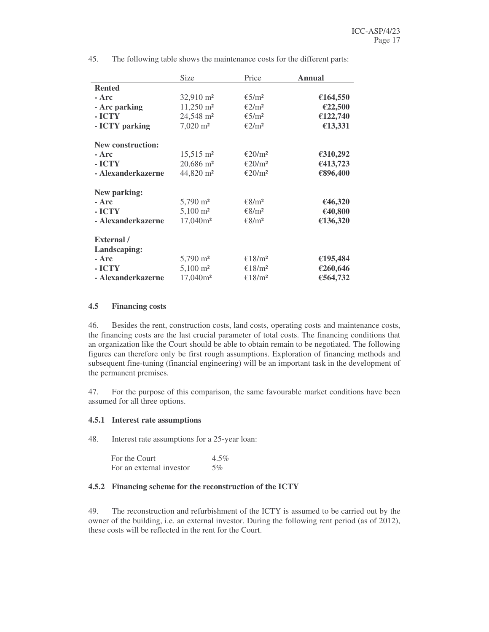|                          | Size                    | Price                       | <b>Annual</b> |
|--------------------------|-------------------------|-----------------------------|---------------|
| <b>Rented</b>            |                         |                             |               |
| - Arc                    | $32,910 \text{ m}^2$    | $\epsilon$ 5/m <sup>2</sup> | €164,550      |
| - Arc parking            | $11,250 \text{ m}^2$    | $\epsilon$ 2/m <sup>2</sup> | €22,500       |
| - ICTY                   | 24,548 m <sup>2</sup>   | $\epsilon$ 5/m <sup>2</sup> | €122,740      |
| - ICTY parking           | $7,020 \text{ m}^2$     | $\epsilon$ 2/m <sup>2</sup> | €13,331       |
| <b>New construction:</b> |                         |                             |               |
| - Arc                    | $15,515$ m <sup>2</sup> | €20/m <sup>2</sup>          | €310,292      |
| - ICTY                   | $20,686$ m <sup>2</sup> | €20/m <sup>2</sup>          | €413,723      |
| - Alexanderkazerne       | 44,820 m <sup>2</sup>   | €20/m <sup>2</sup>          | €896,400      |
| New parking:             |                         |                             |               |
| - Arc                    | $5,790 \text{ m}^2$     | € $8/m2$                    | €46,320       |
| - ICTY                   | $5,100 \text{ m}^2$     | € $8/m2$                    | €40,800       |
| - Alexanderkazerne       | $17,040m^2$             | € $8/m2$                    | €136,320      |
| External /               |                         |                             |               |
| Landscaping:             |                         |                             |               |
| - Arc                    | $5,790 \text{ m}^2$     | €18/m <sup>2</sup>          | €195,484      |
| - ICTY                   | $5,100 \text{ m}^2$     | €18/m <sup>2</sup>          | €260,646      |
| - Alexanderkazerne       | 17,040m <sup>2</sup>    | €18/m <sup>2</sup>          | €564,732      |

45. The following table shows the maintenance costs for the different parts:

#### **4.5 Financing costs**

46. Besides the rent, construction costs, land costs, operating costs and maintenance costs, the financing costs are the last crucial parameter of total costs. The financing conditions that an organization like the Court should be able to obtain remain to be negotiated. The following figures can therefore only be first rough assumptions. Exploration of financing methods and subsequent fine-tuning (financial engineering) will be an important task in the development of the permanent premises.

47. For the purpose of this comparison, the same favourable market conditions have been assumed for all three options.

#### **4.5.1 Interest rate assumptions**

48. Interest rate assumptions for a 25-year loan:

| For the Court            | $4.5\%$ |
|--------------------------|---------|
| For an external investor | 5%      |

#### **4.5.2 Financing scheme for the reconstruction of the ICTY**

49. The reconstruction and refurbishment of the ICTY is assumed to be carried out by the owner of the building, i.e. an external investor. During the following rent period (as of 2012), these costs will be reflected in the rent for the Court.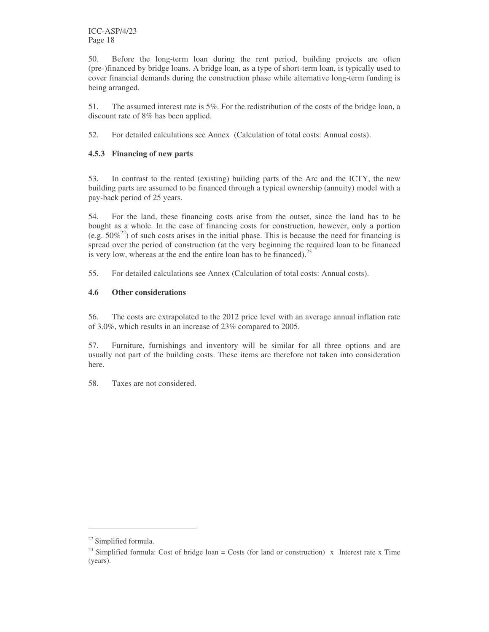50. Before the long-term loan during the rent period, building projects are often (pre-)financed by bridge loans. A bridge loan, as a type of short-term loan, is typically used to cover financial demands during the construction phase while alternative long-term funding is being arranged.

51. The assumed interest rate is 5%. For the redistribution of the costs of the bridge loan, a discount rate of 8% has been applied.

52. For detailed calculations see Annex (Calculation of total costs: Annual costs).

#### **4.5.3 Financing of new parts**

53. In contrast to the rented (existing) building parts of the Arc and the ICTY, the new building parts are assumed to be financed through a typical ownership (annuity) model with a pay-back period of 25 years.

54. For the land, these financing costs arise from the outset, since the land has to be bought as a whole. In the case of financing costs for construction, however, only a portion (e.g.  $50\%^{22}$ ) of such costs arises in the initial phase. This is because the need for financing is spread over the period of construction (at the very beginning the required loan to be financed is very low, whereas at the end the entire loan has to be financed). $^{23}$ 

55. For detailed calculations see Annex (Calculation of total costs: Annual costs).

#### **4.6 Other considerations**

56. The costs are extrapolated to the 2012 price level with an average annual inflation rate of 3.0%, which results in an increase of 23% compared to 2005.

57. Furniture, furnishings and inventory will be similar for all three options and are usually not part of the building costs. These items are therefore not taken into consideration here.

58. Taxes are not considered.

<sup>&</sup>lt;sup>22</sup> Simplified formula.

<sup>&</sup>lt;sup>23</sup> Simplified formula: Cost of bridge loan = Costs (for land or construction) x Interest rate x Time (years).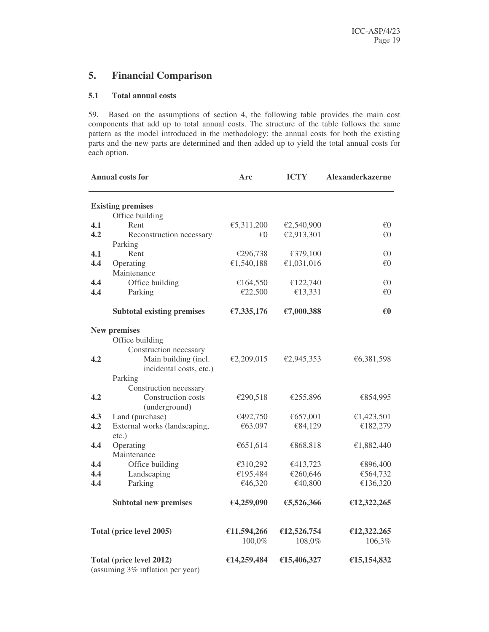## **5. Financial Comparison**

#### **5.1 Total annual costs**

59. Based on the assumptions of section 4, the following table provides the main cost components that add up to total annual costs. The structure of the table follows the same pattern as the model introduced in the methodology: the annual costs for both the existing parts and the new parts are determined and then added up to yield the total annual costs for each option.

|     | <b>Annual costs for</b>                                      | Arc         | <b>ICTY</b> | Alexanderkazerne |
|-----|--------------------------------------------------------------|-------------|-------------|------------------|
|     | <b>Existing premises</b>                                     |             |             |                  |
|     | Office building                                              |             |             |                  |
| 4.1 | Rent                                                         | €5,311,200  | €2,540,900  | €0               |
| 4.2 | Reconstruction necessary                                     | €0          | €2,913,301  | €0               |
|     | Parking                                                      |             |             |                  |
| 4.1 | Rent                                                         | €296,738    | €379,100    | €0               |
| 4.4 | Operating                                                    | €1,540,188  | €1,031,016  | €0               |
|     | Maintenance                                                  |             |             |                  |
| 4.4 | Office building                                              | €164,550    | €122,740    | €0               |
| 4.4 | Parking                                                      | €22,500     | €13,331     | €0               |
|     | <b>Subtotal existing premises</b>                            | £7,335,176  | €7,000,388  | €0               |
|     | <b>New premises</b>                                          |             |             |                  |
|     | Office building                                              |             |             |                  |
|     | Construction necessary                                       |             |             |                  |
| 4.2 | Main building (incl.                                         | €2,209,015  | €2,945,353  | €6,381,598       |
|     | incidental costs, etc.)                                      |             |             |                  |
|     | Parking                                                      |             |             |                  |
|     | Construction necessary                                       |             |             |                  |
| 4.2 | Construction costs<br>(underground)                          | €290,518    | €255,896    | €854,995         |
| 4.3 | Land (purchase)                                              | €492,750    | €657,001    | €1,423,501       |
| 4.2 | External works (landscaping,                                 | €63,097     | €84,129     | €182,279         |
|     | $etc.$ )                                                     |             |             |                  |
| 4.4 | Operating                                                    | €651,614    | €868,818    | €1,882,440       |
|     | Maintenance                                                  |             |             |                  |
| 4.4 | Office building                                              | €310,292    | €413,723    | €896,400         |
| 4.4 | Landscaping                                                  | €195,484    | €260,646    | €564,732         |
| 4.4 | Parking                                                      | €46,320     | €40,800     | €136,320         |
|     | <b>Subtotal new premises</b>                                 | €4,259,090  | €5,526,366  | €12,322,265      |
|     | Total (price level 2005)                                     | €11,594,266 | €12,526,754 | €12,322,265      |
|     |                                                              | 100,0%      | 108,0%      | 106,3%           |
|     | Total (price level 2012)<br>(assuming 3% inflation per year) | €14,259,484 | €15,406,327 | €15,154,832      |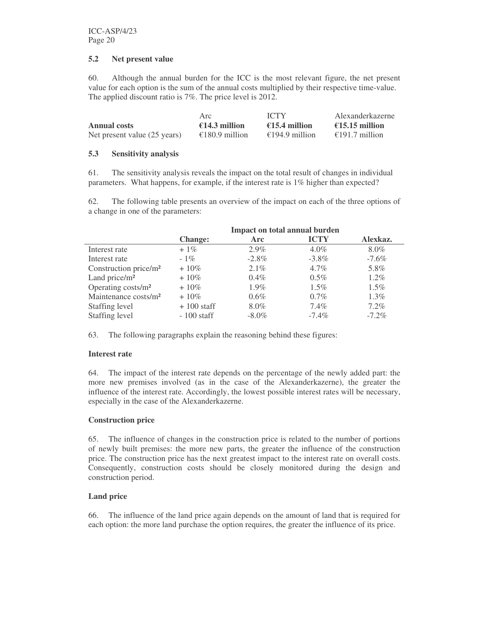#### **5.2 Net present value**

60. Although the annual burden for the ICC is the most relevant figure, the net present value for each option is the sum of the annual costs multiplied by their respective time-value. The applied discount ratio is 7%. The price level is 2012.

|                              | Arc            | <b>ICTY</b>             | Alexanderkazerne |
|------------------------------|----------------|-------------------------|------------------|
| <b>Annual costs</b>          | €14.3 million  | $\epsilon$ 15.4 million | €15.15 million   |
| Net present value (25 years) | €180.9 million | €194.9 million          | €191.7 million   |

#### **5.3 Sensitivity analysis**

61. The sensitivity analysis reveals the impact on the total result of changes in individual parameters. What happens, for example, if the interest rate is 1% higher than expected?

62. The following table presents an overview of the impact on each of the three options of a change in one of the parameters:

|                                   | Impact on total annual burden |          |             |          |
|-----------------------------------|-------------------------------|----------|-------------|----------|
|                                   | <b>Change:</b>                | Arc      | <b>ICTY</b> | Alexkaz. |
| Interest rate                     | $+1\%$                        | $2.9\%$  | $4.0\%$     | 8.0%     |
| Interest rate                     | $-1\%$                        | $-2.8\%$ | $-3.8\%$    | $-7.6\%$ |
| Construction price/m <sup>2</sup> | $+10\%$                       | 2.1%     | $4.7\%$     | 5.8%     |
| Land price/ $m2$                  | $+10\%$                       | 0.4%     | $0.5\%$     | $1.2\%$  |
| Operating costs/m <sup>2</sup>    | $+10\%$                       | 1.9%     | $1.5\%$     | $1.5\%$  |
| Maintenance costs/m <sup>2</sup>  | $+10\%$                       | $0.6\%$  | $0.7\%$     | $1.3\%$  |
| Staffing level                    | $+100$ staff                  | 8.0%     | 7.4%        | 7.2%     |
| Staffing level                    | $-100$ staff                  | $-8.0\%$ | $-7.4\%$    | $-7.2\%$ |

63. The following paragraphs explain the reasoning behind these figures:

#### **Interest rate**

64. The impact of the interest rate depends on the percentage of the newly added part: the more new premises involved (as in the case of the Alexanderkazerne), the greater the influence of the interest rate. Accordingly, the lowest possible interest rates will be necessary, especially in the case of the Alexanderkazerne.

#### **Construction price**

65. The influence of changes in the construction price is related to the number of portions of newly built premises: the more new parts, the greater the influence of the construction price. The construction price has the next greatest impact to the interest rate on overall costs. Consequently, construction costs should be closely monitored during the design and construction period.

#### **Land price**

66. The influence of the land price again depends on the amount of land that is required for each option: the more land purchase the option requires, the greater the influence of its price.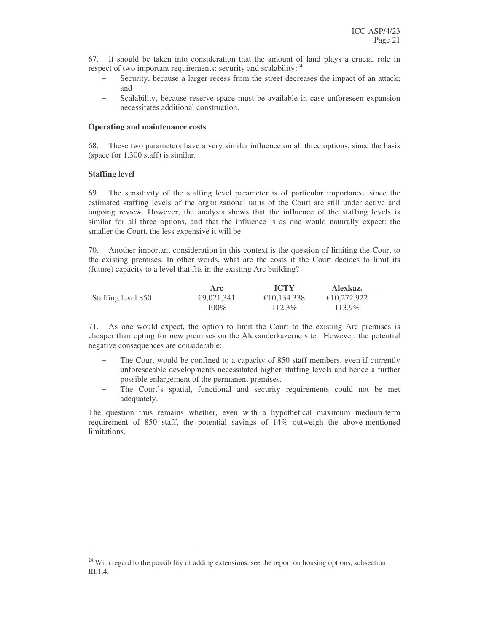67. It should be taken into consideration that the amount of land plays a crucial role in respect of two important requirements: security and scalability:<sup>24</sup>

- Security, because a larger recess from the street decreases the impact of an attack; and
- Scalability, because reserve space must be available in case unforeseen expansion necessitates additional construction.

#### **Operating and maintenance costs**

68. These two parameters have a very similar influence on all three options, since the basis (space for 1,300 staff) is similar.

#### **Staffing level**

69. The sensitivity of the staffing level parameter is of particular importance, since the estimated staffing levels of the organizational units of the Court are still under active and ongoing review. However, the analysis shows that the influence of the staffing levels is similar for all three options, and that the influence is as one would naturally expect: the smaller the Court, the less expensive it will be.

70. Another important consideration in this context is the question of limiting the Court to the existing premises. In other words, what are the costs if the Court decides to limit its (future) capacity to a level that fits in the existing Arc building?

|                    | Arc        | <b>ICTY</b> | Alexkaz.    |
|--------------------|------------|-------------|-------------|
| Staffing level 850 | €9,021,341 | €10.134.338 | €10,272,922 |
|                    | $100\%$    | 112.3%      | 113.9%      |

71. As one would expect, the option to limit the Court to the existing Arc premises is cheaper than opting for new premises on the Alexanderkazerne site. However, the potential negative consequences are considerable:

- The Court would be confined to a capacity of 850 staff members, even if currently unforeseeable developments necessitated higher staffing levels and hence a further possible enlargement of the permanent premises.
- − The Court's spatial, functional and security requirements could not be met adequately.

The question thus remains whether, even with a hypothetical maximum medium-term requirement of 850 staff, the potential savings of 14% outweigh the above-mentioned limitations.

<sup>&</sup>lt;sup>24</sup> With regard to the possibility of adding extensions, see the report on housing options, subsection III.1.4.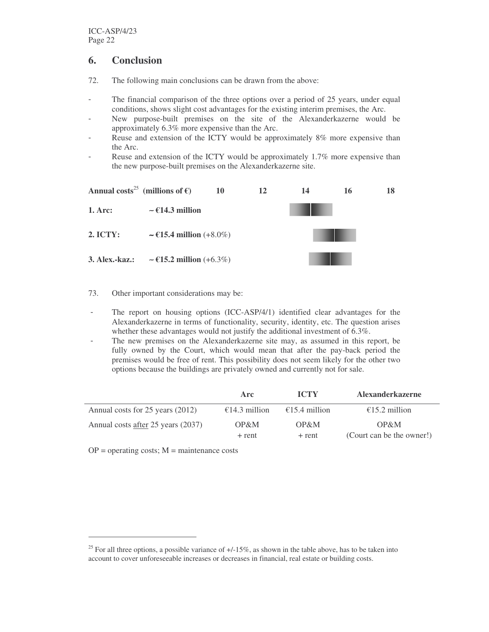## **6. Conclusion**

- 72. The following main conclusions can be drawn from the above:
- The financial comparison of the three options over a period of 25 years, under equal conditions, shows slight cost advantages for the existing interim premises, the Arc.
- New purpose-built premises on the site of the Alexanderkazerne would be approximately 6.3% more expensive than the Arc.
- Reuse and extension of the ICTY would be approximately 8% more expensive than the Arc.
- Reuse and extension of the ICTY would be approximately 1.7% more expensive than the new purpose-built premises on the Alexanderkazerne site.



#### 73. Other important considerations may be:

- The report on housing options (ICC-ASP/4/1) identified clear advantages for the Alexanderkazerne in terms of functionality, security, identity, etc. The question arises whether these advantages would not justify the additional investment of 6.3%.
- The new premises on the Alexanderkazerne site may, as assumed in this report, be fully owned by the Court, which would mean that after the pay-back period the premises would be free of rent. This possibility does not seem likely for the other two options because the buildings are privately owned and currently not for sale.

|                                    | Arc              | <b>ICTY</b>      | <b>Alexanderkazerne</b>           |
|------------------------------------|------------------|------------------|-----------------------------------|
| Annual costs for 25 years (2012)   | €14.3 million    | €15.4 million    | €15.2 million                     |
| Annual costs after 25 years (2037) | OP&M<br>$+$ rent | OP&M<br>$+$ rent | OP&M<br>(Court can be the owner!) |

 $OP =$  operating costs;  $M =$  maintenance costs

<sup>&</sup>lt;sup>25</sup> For all three options, a possible variance of  $+/-15\%$ , as shown in the table above, has to be taken into account to cover unforeseeable increases or decreases in financial, real estate or building costs.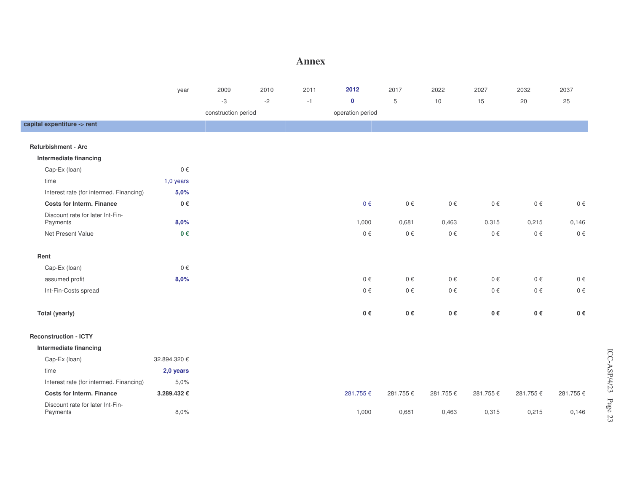#### **Annex**

|                                              | year         | 2009                | 2010 | 2011 | 2012             | 2017       | 2022     | 2027     | 2032     | 2037     |
|----------------------------------------------|--------------|---------------------|------|------|------------------|------------|----------|----------|----------|----------|
|                                              |              | -3                  | $-2$ | $-1$ | $\pmb{0}$        | $\sqrt{5}$ | 10       | 15       | $20\,$   | 25       |
|                                              |              | construction period |      |      | operation period |            |          |          |          |          |
| capital expentiture -> rent                  |              |                     |      |      |                  |            |          |          |          |          |
|                                              |              |                     |      |      |                  |            |          |          |          |          |
| <b>Refurbishment - Arc</b>                   |              |                     |      |      |                  |            |          |          |          |          |
| Intermediate financing                       |              |                     |      |      |                  |            |          |          |          |          |
| Cap-Ex (loan)                                | $0 \in$      |                     |      |      |                  |            |          |          |          |          |
| time                                         | $1,0$ years  |                     |      |      |                  |            |          |          |          |          |
| Interest rate (for intermed. Financing)      | 5,0%         |                     |      |      |                  |            |          |          |          |          |
| <b>Costs for Interm. Finance</b>             | 0€           |                     |      |      | $0 \in$          | $0 \in$    | $0 \in$  | $0 \in$  | $0 \in$  | $0 \in$  |
| Discount rate for later Int-Fin-<br>Payments | 8,0%         |                     |      |      | 1,000            | 0,681      | 0,463    | 0,315    | 0,215    | 0,146    |
| Net Present Value                            | $0 \in$      |                     |      |      | $0 \in$          | $0 \in$    | $0 \in$  | $0 \in$  | $0 \in$  | $0 \in$  |
| Rent                                         |              |                     |      |      |                  |            |          |          |          |          |
| Cap-Ex (loan)                                | $0 \in$      |                     |      |      |                  |            |          |          |          |          |
| assumed profit                               | 8,0%         |                     |      |      | $0 \in$          | $0 \in$    | $0 \in$  | $0 \in$  | $0 \in$  | $0 \in$  |
| Int-Fin-Costs spread                         |              |                     |      |      | $0 \in$          | $0 \in$    | $0 \in$  | 0€       | $0 \in$  | $0 \in$  |
| Total (yearly)                               |              |                     |      |      | 0€               | $0 \in$    | $0 \in$  | $0 \in$  | $0 \in$  | $0 \in$  |
| <b>Reconstruction - ICTY</b>                 |              |                     |      |      |                  |            |          |          |          |          |
| Intermediate financing                       |              |                     |      |      |                  |            |          |          |          |          |
| Cap-Ex (loan)                                | 32.894.320 € |                     |      |      |                  |            |          |          |          |          |
| time                                         | 2,0 years    |                     |      |      |                  |            |          |          |          |          |
| Interest rate (for intermed. Financing)      | 5,0%         |                     |      |      |                  |            |          |          |          |          |
| <b>Costs for Interm. Finance</b>             | 3.289.432€   |                     |      |      | 281.755€         | 281.755€   | 281.755€ | 281.755€ | 281.755€ | 281.755€ |
| Discount rate for later Int-Fin-<br>Payments | 8,0%         |                     |      |      | 1,000            | 0,681      | 0,463    | 0,315    | 0,215    | 0,146    |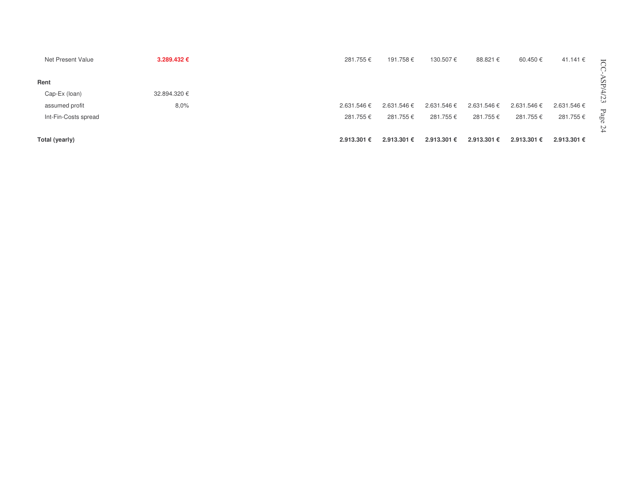| Net Present Value    | 3.289.432 €  | 281.755€    | 191.758€    | 130.507€    | 88.821 €    | 60.450€     | 41.141 €    | $\overline{\phantom{0}}$ |
|----------------------|--------------|-------------|-------------|-------------|-------------|-------------|-------------|--------------------------|
| Rent                 |              |             |             |             |             |             |             |                          |
| Cap-Ex (loan)        | 32.894.320 € |             |             |             |             |             |             | N                        |
| assumed profit       | 8,0%         | 2.631.546 € | 2.631.546 € | 2.631.546€  | 2.631.546€  | 2.631.546€  | 2.631.546 € | دى                       |
| Int-Fin-Costs spread |              | 281.755 €   | 281.755€    | 281.755 €   | 281.755€    | 281.755€    | 281.755€    | Page<br>24               |
| Total (yearly)       |              | 2.913.301 € | 2.913.301 € | 2.913.301 € | 2.913.301 € | 2.913.301 € | 2.913.301 € |                          |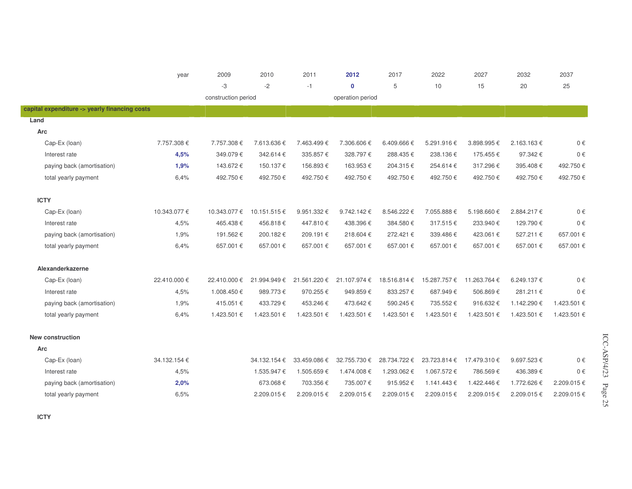|                                               | year         | 2009                | 2010         | 2011         | 2012             | 2017         | 2022         | 2027         | 2032        | 2037        |
|-----------------------------------------------|--------------|---------------------|--------------|--------------|------------------|--------------|--------------|--------------|-------------|-------------|
|                                               |              | -3                  | $-2$         | $-1$         | $\mathbf 0$      | 5            | 10           | 15           | 20          | 25          |
|                                               |              | construction period |              |              | operation period |              |              |              |             |             |
| capital expenditure -> yearly financing costs |              |                     |              |              |                  |              |              |              |             |             |
| Land                                          |              |                     |              |              |                  |              |              |              |             |             |
| Arc                                           |              |                     |              |              |                  |              |              |              |             |             |
| Cap-Ex (loan)                                 | 7.757.308€   | 7.757.308€          | 7.613.636 €  | 7.463.499€   | 7.306.606€       | 6.409.666€   | 5.291.916€   | 3.898.995€   | 2.163.163€  | $0 \in$     |
| Interest rate                                 | 4,5%         | 349.079€            | 342.614€     | 335.857€     | 328.797€         | 288.435€     | 238.136€     | 175.455€     | 97.342€     | $0 \in$     |
| paying back (amortisation)                    | 1,9%         | 143.672€            | 150.137€     | 156.893€     | 163.953€         | 204.315€     | 254.614€     | 317.296€     | 395.408€    | 492.750€    |
| total yearly payment                          | 6.4%         | 492.750€            | 492.750€     | 492.750€     | 492.750€         | 492.750€     | 492.750€     | 492.750€     | 492.750€    | 492.750€    |
| <b>ICTY</b>                                   |              |                     |              |              |                  |              |              |              |             |             |
| Cap-Ex (loan)                                 | 10.343.077 € | 10.343.077 €        | 10.151.515€  | 9.951.332€   | 9.742.142€       | 8.546.222 €  | 7.055.888€   | 5.198.660€   | 2.884.217€  | $0 \in$     |
| Interest rate                                 | 4,5%         | 465.438€            | 456.818€     | 447.810€     | 438.396€         | 384.580€     | 317.515€     | 233.940€     | 129.790€    | $0 \in$     |
| paying back (amortisation)                    | 1,9%         | 191.562€            | 200.182€     | 209.191€     | 218.604€         | 272.421€     | 339.486€     | 423.061€     | 527.211€    | 657.001 €   |
| total yearly payment                          | 6.4%         | 657.001€            | 657.001€     | 657.001€     | 657.001€         | 657.001€     | 657.001€     | 657.001€     | 657.001€    | 657.001€    |
| Alexanderkazerne                              |              |                     |              |              |                  |              |              |              |             |             |
| Cap-Ex (loan)                                 | 22.410.000 € | 22.410.000 €        | 21.994.949€  | 21.561.220 € | 21.107.974€      | 18.516.814 € | 15.287.757 € | 11.263.764 € | 6.249.137€  | $0 \in$     |
| Interest rate                                 | 4,5%         | 1.008.450€          | 989.773€     | 970.255€     | 949.859€         | 833.257€     | 687.949€     | 506.869€     | 281.211€    | $0 \in$     |
| paying back (amortisation)                    | 1,9%         | 415.051€            | 433.729€     | 453.246€     | 473.642 €        | 590.245€     | 735.552€     | 916.632€     | 1.142.290 € | 1.423.501 € |
| total yearly payment                          | 6,4%         | 1.423.501 €         | 1.423.501 €  | 1.423.501 €  | 1.423.501 €      | 1.423.501 €  | 1.423.501 €  | 1.423.501 €  | 1.423.501 € | 1.423.501 € |
| <b>New construction</b>                       |              |                     |              |              |                  |              |              |              |             |             |
| Arc                                           |              |                     |              |              |                  |              |              |              |             |             |
| Cap-Ex (loan)                                 | 34.132.154 € |                     | 34.132.154 € | 33.459.086 € | 32.755.730 €     | 28.734.722 € | 23.723.814 € | 17.479.310 € | 9.697.523€  | $0 \in$     |
| Interest rate                                 | 4,5%         |                     | 1.535.947€   | 1.505.659€   | 1.474.008€       | 1.293.062€   | 1.067.572€   | 786.569€     | 436.389€    | $0 \in$     |
| paying back (amortisation)                    | 2,0%         |                     | 673.068€     | 703.356€     | 735.007€         | 915.952€     | 1.141.443 €  | 1.422.446€   | 1.772.626€  | 2.209.015€  |
| total yearly payment                          | 6,5%         |                     | 2.209.015€   | 2.209.015€   | 2.209.015€       | 2.209.015€   | 2.209.015€   | 2.209.015€   | 2.209.015€  | 2.209.015€  |

ICC-ASP/4/23

Page 25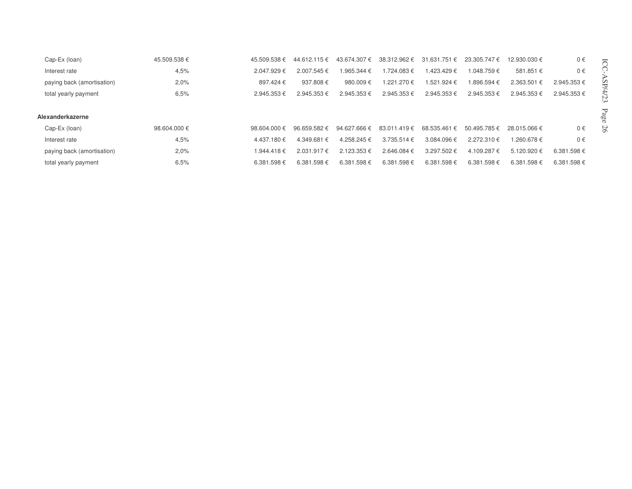| Cap-Ex (loan)              | 45.509.538€  | 45.509.538€      | 44.612.115€      | 43.674.307 € | 38.312.962 €    | 31.631<br>.751 € | 23.305.747€ | 12.930.030 € | 0€         |  |
|----------------------------|--------------|------------------|------------------|--------------|-----------------|------------------|-------------|--------------|------------|--|
| Interest rate              | 4.5%         | 2.047.929€       | 2.007.545 €      | .965.344 €   | $1.724.083 \in$ | 1.423.429 €      | 1.048.759 € | 581.851 €    | $0 \in$    |  |
| paying back (amortisation) | 2.0%         | 897.424 €        | 937.808€         | 980.009€     | 1.221.270 €     | 1.521.924 €      | .896.594 €  | 2.363.501 €  | 2.945.353€ |  |
| total yearly payment       | 6,5%         | 2.945.353€       | 2.945.353€       | 2.945.353€   | 2.945.353€      | 2.945.353€       | 2.945.353€  | 2.945.353 €  | 2.945.353€ |  |
|                            |              |                  |                  |              |                 |                  |             |              |            |  |
| Alexanderkazerne           |              |                  |                  |              |                 |                  |             |              |            |  |
| Cap-Ex (loan)              | 98.604.000 € | 98.604.000 $\in$ | $96.659.582 \in$ | 94.627.666 € | 83.011.419€     | 68.535.461 €     | 50.495.785€ | 28.015.066 € | 0€         |  |
| Interest rate              | 4.5%         | 4.437.180 €      | 4.349.681 €      | 4.258.245€   | $3.735.514 \in$ | 3.084.096€       | 2.272.310€  | 1.260.678 €  | $0 \in$    |  |
| paying back (amortisation) | 2,0%         | 1.944.418€       | $2.031.917 \in$  | 2.123.353 €  | 2.646.084 €     | 3.297.502€       | 4.109.287 € | 5.120.920 €  | 6.381.598€ |  |
| total yearly payment       | 6.5%         | 6.381.598€       | 6.381.598€       | 6.381.598€   | 6.381.598€      | 6.381.598€       | 6.381.598€  | 6.381.598€   | 6.381.598€ |  |

ICC-ASP/4/23

Page 26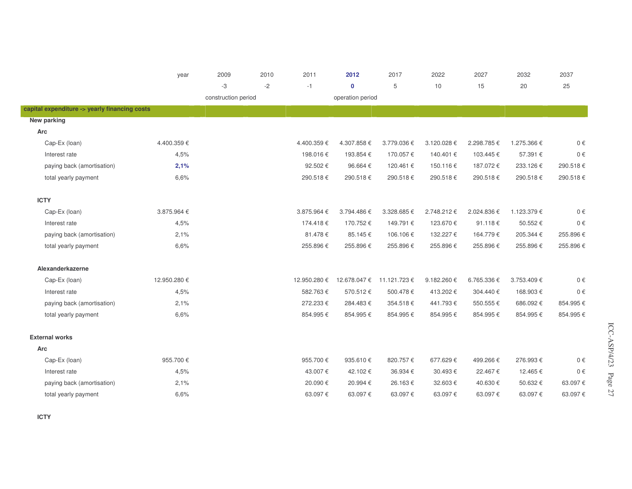|                                               | year        | 2009                | 2010 | 2011         | 2012             | 2017         | 2022       | 2027       | 2032        | 2037     |
|-----------------------------------------------|-------------|---------------------|------|--------------|------------------|--------------|------------|------------|-------------|----------|
|                                               |             | -3                  | $-2$ | $-1$         | $\mathbf 0$      | 5            | 10         | 15         | 20          | 25       |
|                                               |             | construction period |      |              | operation period |              |            |            |             |          |
| capital expenditure -> yearly financing costs |             |                     |      |              |                  |              |            |            |             |          |
| New parking                                   |             |                     |      |              |                  |              |            |            |             |          |
| Arc                                           |             |                     |      |              |                  |              |            |            |             |          |
| Cap-Ex (loan)                                 | 4.400.359€  |                     |      | 4.400.359€   | 4.307.858€       | 3.779.036€   | 3.120.028€ | 2.298.785€ | 1.275.366 € | $0 \in$  |
| Interest rate                                 | 4,5%        |                     |      | 198.016€     | 193.854€         | 170.057€     | 140.401€   | 103.445€   | 57.391€     | $0 \in$  |
| paying back (amortisation)                    | 2,1%        |                     |      | 92.502€      | 96.664€          | 120.461€     | 150.116€   | 187.072€   | 233.126€    | 290.518€ |
| total yearly payment                          | 6,6%        |                     |      | 290.518€     | 290.518€         | 290.518€     | 290.518€   | 290.518€   | 290.518€    | 290.518€ |
|                                               |             |                     |      |              |                  |              |            |            |             |          |
| <b>ICTY</b>                                   |             |                     |      |              |                  |              |            |            |             |          |
| Cap-Ex (loan)                                 | 3.875.964€  |                     |      | 3.875.964 €  | 3.794.486€       | 3.328.685€   | 2.748.212€ | 2.024.836€ | 1.123.379€  | $0 \in$  |
| Interest rate                                 | 4,5%        |                     |      | 174.418€     | 170.752€         | 149.791€     | 123.670€   | 91.118€    | 50.552€     | $0 \in$  |
| paying back (amortisation)                    | 2,1%        |                     |      | 81.478€      | 85.145€          | 106.106€     | 132.227€   | 164.779€   | 205.344 €   | 255.896€ |
| total yearly payment                          | 6,6%        |                     |      | 255.896€     | 255.896€         | 255.896€     | 255.896€   | 255.896€   | 255.896€    | 255.896€ |
| Alexanderkazerne                              |             |                     |      |              |                  |              |            |            |             |          |
| Cap-Ex (loan)                                 | 12.950.280€ |                     |      | 12.950.280 € | 12.678.047 €     | 11.121.723 € | 9.182.260€ | 6.765.336€ | 3.753.409€  | $0 \in$  |
| Interest rate                                 | 4,5%        |                     |      | 582.763€     | 570.512€         | 500.478€     | 413.202€   | 304.440 €  | 168.903€    | $0 \in$  |
| paying back (amortisation)                    | 2,1%        |                     |      | 272.233€     | 284.483€         | 354.518€     | 441.793€   | 550.555€   | 686.092€    | 854.995€ |
| total yearly payment                          | 6.6%        |                     |      | 854.995€     | 854.995€         | 854.995€     | 854.995€   | 854.995€   | 854.995€    | 854.995€ |
| <b>External works</b>                         |             |                     |      |              |                  |              |            |            |             |          |
| Arc                                           |             |                     |      |              |                  |              |            |            |             |          |
| Cap-Ex (loan)                                 | 955.700€    |                     |      | 955.700€     | 935.610€         | 820.757€     | 677.629€   | 499.266€   | 276.993€    | $0 \in$  |
| Interest rate                                 | 4,5%        |                     |      | 43.007€      | 42.102€          | 36.934€      | 30.493€    | 22.467€    | 12.465€     | $0 \in$  |
| paying back (amortisation)                    | 2,1%        |                     |      | 20.090€      | 20.994€          | 26.163€      | 32.603€    | 40.630€    | 50.632€     | 63.097€  |
| total yearly payment                          | 6,6%        |                     |      | 63.097€      | 63.097€          | 63.097€      | 63.097€    | 63.097€    | 63.097€     | 63.097€  |

**ICTY**